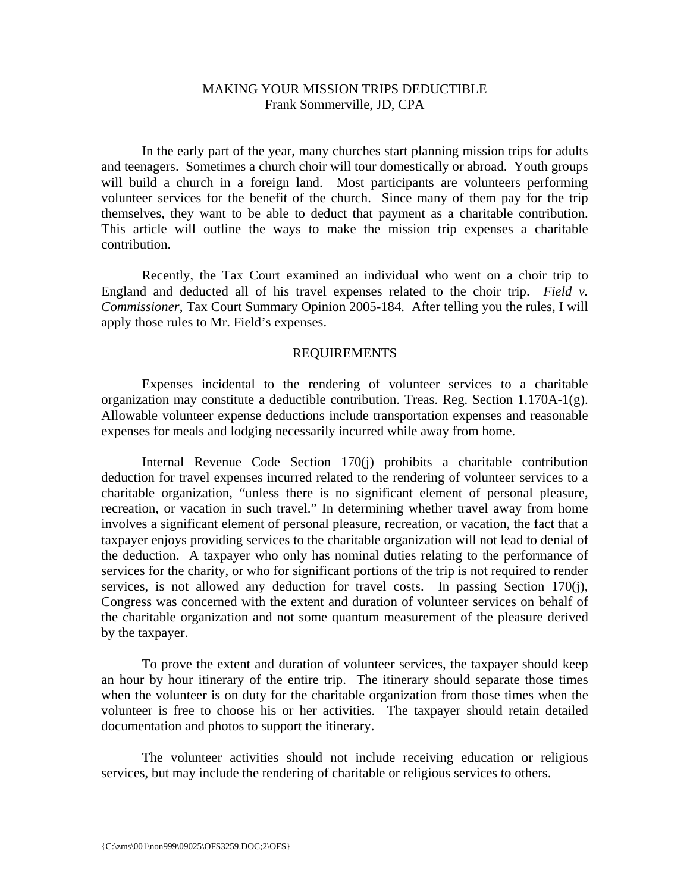# MAKING YOUR MISSION TRIPS DEDUCTIBLE Frank Sommerville, JD, CPA

 In the early part of the year, many churches start planning mission trips for adults and teenagers. Sometimes a church choir will tour domestically or abroad. Youth groups will build a church in a foreign land. Most participants are volunteers performing volunteer services for the benefit of the church. Since many of them pay for the trip themselves, they want to be able to deduct that payment as a charitable contribution. This article will outline the ways to make the mission trip expenses a charitable contribution.

 Recently, the Tax Court examined an individual who went on a choir trip to England and deducted all of his travel expenses related to the choir trip. *Field v. Commissioner*, Tax Court Summary Opinion 2005-184. After telling you the rules, I will apply those rules to Mr. Field's expenses.

### REQUIREMENTS

 Expenses incidental to the rendering of volunteer services to a charitable organization may constitute a deductible contribution. Treas. Reg. Section 1.170A-1(g). Allowable volunteer expense deductions include transportation expenses and reasonable expenses for meals and lodging necessarily incurred while away from home.

 Internal Revenue Code Section 170(j) prohibits a charitable contribution deduction for travel expenses incurred related to the rendering of volunteer services to a charitable organization, "unless there is no significant element of personal pleasure, recreation, or vacation in such travel." In determining whether travel away from home involves a significant element of personal pleasure, recreation, or vacation, the fact that a taxpayer enjoys providing services to the charitable organization will not lead to denial of the deduction. A taxpayer who only has nominal duties relating to the performance of services for the charity, or who for significant portions of the trip is not required to render services, is not allowed any deduction for travel costs. In passing Section 170(j), Congress was concerned with the extent and duration of volunteer services on behalf of the charitable organization and not some quantum measurement of the pleasure derived by the taxpayer.

 To prove the extent and duration of volunteer services, the taxpayer should keep an hour by hour itinerary of the entire trip. The itinerary should separate those times when the volunteer is on duty for the charitable organization from those times when the volunteer is free to choose his or her activities. The taxpayer should retain detailed documentation and photos to support the itinerary.

 The volunteer activities should not include receiving education or religious services, but may include the rendering of charitable or religious services to others.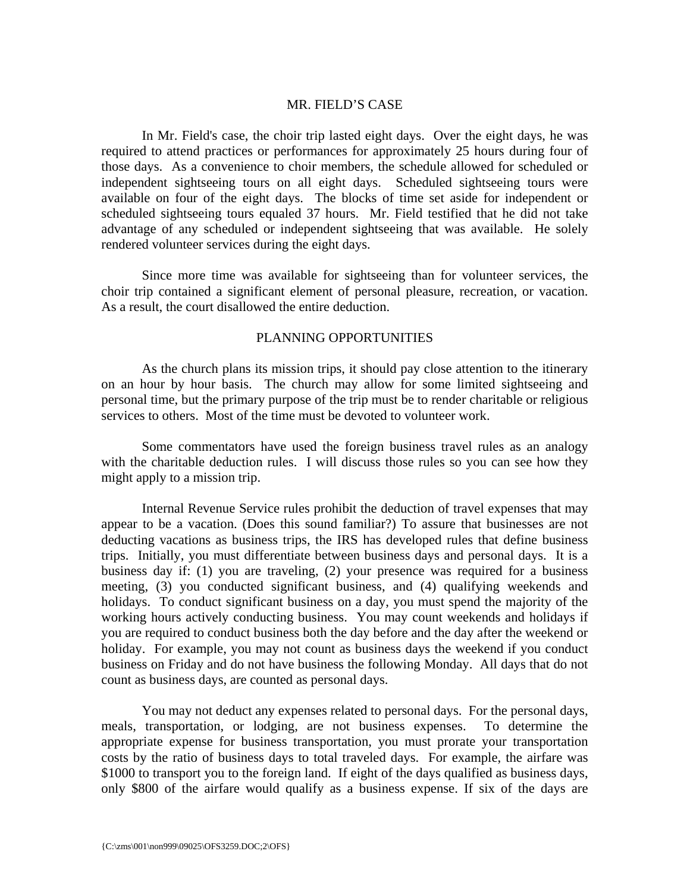## MR. FIELD'S CASE

 In Mr. Field's case, the choir trip lasted eight days. Over the eight days, he was required to attend practices or performances for approximately 25 hours during four of those days. As a convenience to choir members, the schedule allowed for scheduled or independent sightseeing tours on all eight days. Scheduled sightseeing tours were available on four of the eight days. The blocks of time set aside for independent or scheduled sightseeing tours equaled 37 hours. Mr. Field testified that he did not take advantage of any scheduled or independent sightseeing that was available. He solely rendered volunteer services during the eight days.

 Since more time was available for sightseeing than for volunteer services, the choir trip contained a significant element of personal pleasure, recreation, or vacation. As a result, the court disallowed the entire deduction.

### PLANNING OPPORTUNITIES

 As the church plans its mission trips, it should pay close attention to the itinerary on an hour by hour basis. The church may allow for some limited sightseeing and personal time, but the primary purpose of the trip must be to render charitable or religious services to others. Most of the time must be devoted to volunteer work.

 Some commentators have used the foreign business travel rules as an analogy with the charitable deduction rules. I will discuss those rules so you can see how they might apply to a mission trip.

 Internal Revenue Service rules prohibit the deduction of travel expenses that may appear to be a vacation. (Does this sound familiar?) To assure that businesses are not deducting vacations as business trips, the IRS has developed rules that define business trips. Initially, you must differentiate between business days and personal days. It is a business day if: (1) you are traveling, (2) your presence was required for a business meeting, (3) you conducted significant business, and (4) qualifying weekends and holidays. To conduct significant business on a day, you must spend the majority of the working hours actively conducting business. You may count weekends and holidays if you are required to conduct business both the day before and the day after the weekend or holiday. For example, you may not count as business days the weekend if you conduct business on Friday and do not have business the following Monday. All days that do not count as business days, are counted as personal days.

 You may not deduct any expenses related to personal days. For the personal days, meals, transportation, or lodging, are not business expenses. To determine the appropriate expense for business transportation, you must prorate your transportation costs by the ratio of business days to total traveled days. For example, the airfare was \$1000 to transport you to the foreign land. If eight of the days qualified as business days, only \$800 of the airfare would qualify as a business expense. If six of the days are